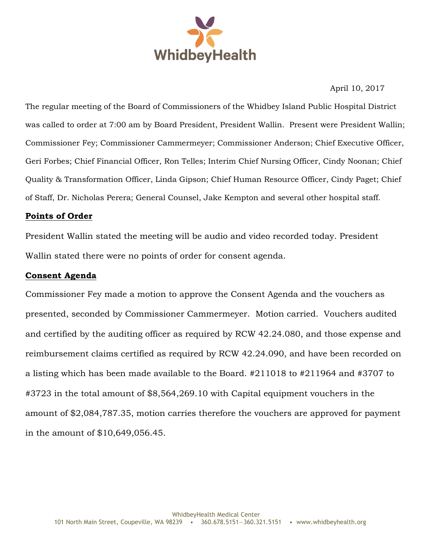

April 10, 2017

The regular meeting of the Board of Commissioners of the Whidbey Island Public Hospital District was called to order at 7:00 am by Board President, President Wallin. Present were President Wallin; Commissioner Fey; Commissioner Cammermeyer; Commissioner Anderson; Chief Executive Officer, Geri Forbes; Chief Financial Officer, Ron Telles; Interim Chief Nursing Officer, Cindy Noonan; Chief Quality & Transformation Officer, Linda Gipson; Chief Human Resource Officer, Cindy Paget; Chief of Staff, Dr. Nicholas Perera; General Counsel, Jake Kempton and several other hospital staff.

# **Points of Order**

President Wallin stated the meeting will be audio and video recorded today. President Wallin stated there were no points of order for consent agenda.

# **Consent Agenda**

Commissioner Fey made a motion to approve the Consent Agenda and the vouchers as presented, seconded by Commissioner Cammermeyer. Motion carried. Vouchers audited and certified by the auditing officer as required by RCW 42.24.080, and those expense and reimbursement claims certified as required by RCW 42.24.090, and have been recorded on a listing which has been made available to the Board. #211018 to #211964 and #3707 to #3723 in the total amount of \$8,564,269.10 with Capital equipment vouchers in the amount of \$2,084,787.35, motion carries therefore the vouchers are approved for payment in the amount of \$10,649,056.45.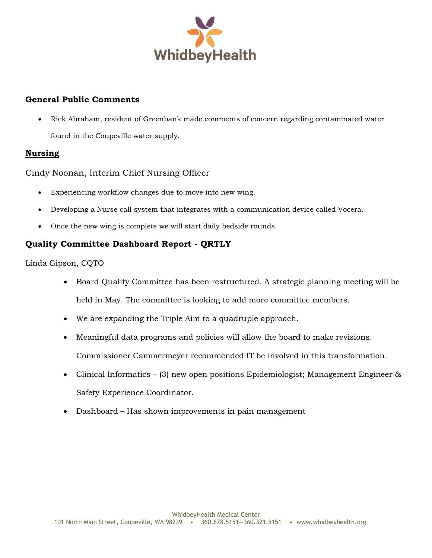

## **General Public Comments**

 Rick Abraham, resident of Greenbank made comments of concern regarding contaminated water found in the Coupeville water supply.

## **Nursing**

Cindy Noonan, Interim Chief Nursing Officer

- Experiencing workflow changes due to move into new wing.
- Developing a Nurse call system that integrates with a communication device called Vocera.
- Once the new wing is complete we will start daily bedside rounds.

# **Quality Committee Dashboard Report - QRTLY**

Linda Gipson, CQTO

- Board Quality Committee has been restructured. A strategic planning meeting will be held in May. The committee is looking to add more committee members.
- We are expanding the Triple Aim to a quadruple approach.
- Meaningful data programs and policies will allow the board to make revisions. Commissioner Cammermeyer recommended IT be involved in this transformation.
- Clinical Informatics (3) new open positions Epidemiologist; Management Engineer & Safety Experience Coordinator.
- Dashboard Has shown improvements in pain management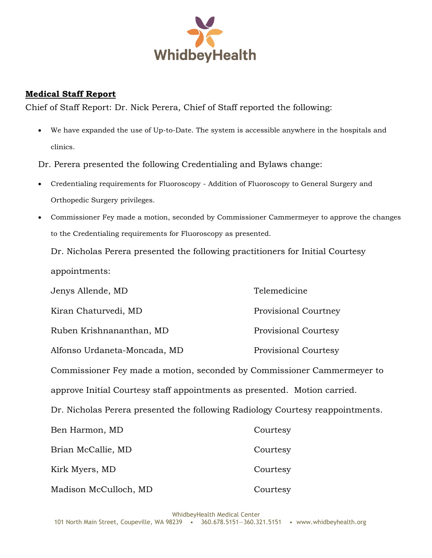

# **Medical Staff Report**

Chief of Staff Report: Dr. Nick Perera, Chief of Staff reported the following:

 We have expanded the use of Up-to-Date. The system is accessible anywhere in the hospitals and clinics.

Dr. Perera presented the following Credentialing and Bylaws change:

- Credentialing requirements for Fluoroscopy Addition of Fluoroscopy to General Surgery and Orthopedic Surgery privileges.
- Commissioner Fey made a motion, seconded by Commissioner Cammermeyer to approve the changes to the Credentialing requirements for Fluoroscopy as presented.

Dr. Nicholas Perera presented the following practitioners for Initial Courtesy appointments:

| Jenys Allende, MD                                                              | Telemedicine                |
|--------------------------------------------------------------------------------|-----------------------------|
| Kiran Chaturvedi, MD                                                           | <b>Provisional Courtney</b> |
| Ruben Krishnananthan, MD                                                       | <b>Provisional Courtesy</b> |
| Alfonso Urdaneta-Moncada, MD                                                   | <b>Provisional Courtesy</b> |
| Commissioner Fey made a motion, seconded by Commissioner Cammermeyer to        |                             |
| approve Initial Courtesy staff appointments as presented. Motion carried.      |                             |
| Dr. Nicholas Perera presented the following Radiology Courtesy reappointments. |                             |
| Ben Harmon, MD                                                                 | Courtesy                    |
| Brian McCallie, MD                                                             | Courtesy                    |
| Kirk Myers, MD                                                                 | Courtesy                    |
| Madison McCulloch, MD                                                          | Courtesy                    |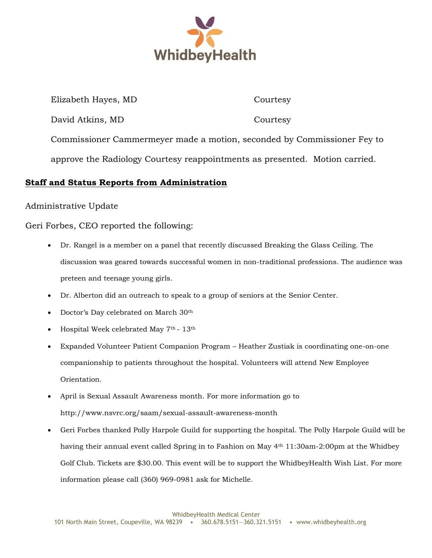

| Elizabeth Hayes, MD                                                         | Courtesy |
|-----------------------------------------------------------------------------|----------|
| David Atkins, MD                                                            | Courtesy |
| Commissioner Cammermeyer made a motion, seconded by Commissioner Fey to     |          |
| approve the Radiology Courtesy reappointments as presented. Motion carried. |          |

### **Staff and Status Reports from Administration**

### Administrative Update

### Geri Forbes, CEO reported the following:

- Dr. Rangel is a member on a panel that recently discussed Breaking the Glass Ceiling. The discussion was geared towards successful women in non-traditional professions. The audience was preteen and teenage young girls.
- Dr. Alberton did an outreach to speak to a group of seniors at the Senior Center.
- Doctor's Day celebrated on March 30<sup>th</sup>
- $\bullet$  Hospital Week celebrated May 7<sup>th</sup> 13<sup>th</sup>
- Expanded Volunteer Patient Companion Program Heather Zustiak is coordinating one-on-one companionship to patients throughout the hospital. Volunteers will attend New Employee Orientation.
- April is Sexual Assault Awareness month. For more information go to http://www.nsvrc.org/saam/sexual-assault-awareness-month
- Geri Forbes thanked Polly Harpole Guild for supporting the hospital. The Polly Harpole Guild will be having their annual event called Spring in to Fashion on May 4th 11:30am-2:00pm at the Whidbey Golf Club. Tickets are \$30.00. This event will be to support the WhidbeyHealth Wish List. For more information please call (360) 969-0981 ask for Michelle.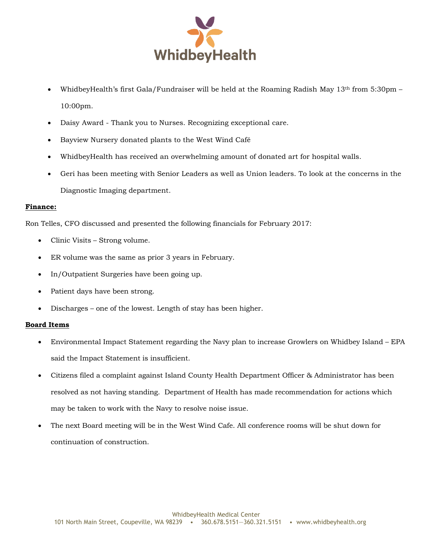

- WhidbeyHealth's first Gala/Fundraiser will be held at the Roaming Radish May 13<sup>th</sup> from 5:30pm 10:00pm.
- Daisy Award Thank you to Nurses. Recognizing exceptional care.
- Bayview Nursery donated plants to the West Wind Café
- WhidbeyHealth has received an overwhelming amount of donated art for hospital walls.
- Geri has been meeting with Senior Leaders as well as Union leaders. To look at the concerns in the Diagnostic Imaging department.

#### **Finance:**

Ron Telles, CFO discussed and presented the following financials for February 2017:

- Clinic Visits Strong volume.
- ER volume was the same as prior 3 years in February.
- In/Outpatient Surgeries have been going up.
- Patient days have been strong.
- Discharges one of the lowest. Length of stay has been higher.

#### **Board Items**

- Environmental Impact Statement regarding the Navy plan to increase Growlers on Whidbey Island EPA said the Impact Statement is insufficient.
- Citizens filed a complaint against Island County Health Department Officer & Administrator has been resolved as not having standing. Department of Health has made recommendation for actions which may be taken to work with the Navy to resolve noise issue.
- The next Board meeting will be in the West Wind Cafe. All conference rooms will be shut down for continuation of construction.